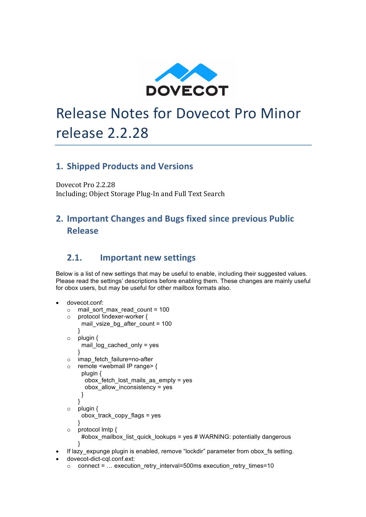

# **Release Notes for Dovecot Pro Minor** release 2.2.28

#### **1. Shipped Products and Versions**

Dovecot Pro 2.2.28 Including; Object Storage Plug-In and Full Text Search

### **2. Important Changes and Bugs fixed since previous Public Release**

#### **2.1.** Important new settings

Below is a list of new settings that may be useful to enable, including their suggested values. Please read the settings' descriptions before enabling them. These changes are mainly useful for obox users, but may be useful for other mailbox formats also.

```
• dovecot.conf:
  \circ mail sort max read count = 100
  o protocol !indexer-worker {
       mail vsize bg after count = 100}
  o plugin {
       mail log cached only = yes
      }
  o imap_fetch_failure=no-after
  o remote <webmail IP range> {
        plugin {
        obox fetch lost mails as empty = yes
         obox_allow_inconsistency = yes
        }
      }
  o plugin {
       obox track copy flags = yes
      }
  o protocol lmtp {
       #obox_mailbox_list_quick_lookups = yes # WARNING: potentially dangerous
      }
If lazy expunge plugin is enabled, remove "lockdir" parameter from obox fs setting.
 • dovecot-dict-cql.conf.ext:
```
 $\circ$  connect = ... execution retry interval=500ms execution retry times=10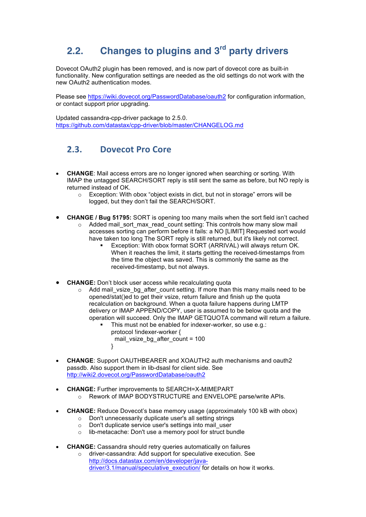# **2.2. Changes to plugins and 3rd party drivers**

Dovecot OAuth2 plugin has been removed, and is now part of dovecot core as built-in functionality. New configuration settings are needed as the old settings do not work with the new OAuth2 authentication modes.

Please see https://wiki.dovecot.org/PasswordDatabase/oauth2 for configuration information, or contact support prior upgrading.

Updated cassandra-cpp-driver package to 2.5.0. https://github.com/datastax/cpp-driver/blob/master/CHANGELOG.md

#### **2.3. Dovecot Pro Core**

- **CHANGE**: Mail access errors are no longer ignored when searching or sorting. With IMAP the untagged SEARCH/SORT reply is still sent the same as before, but NO reply is returned instead of OK.
	- o Exception: With obox "object exists in dict, but not in storage" errors will be logged, but they don't fail the SEARCH/SORT.
- **CHANGE / Bug 51795:** SORT is opening too many mails when the sort field isn't cached o Added mail\_sort\_max\_read\_count setting: This controls how many slow mail accesses sorting can perform before it fails: a NO [LIMIT] Requested sort would have taken too long The SORT reply is still returned, but it's likely not correct.
	- Exception: With obox format SORT (ARRIVAL) will always return OK.
		- When it reaches the limit, it starts getting the received-timestamps from the time the object was saved. This is commonly the same as the received-timestamp, but not always.
- **CHANGE:** Don't block user access while recalculating quota
	- $\circ$  Add mail vsize bg after count setting. If more than this many mails need to be opened/stat()ed to get their vsize, return failure and finish up the quota recalculation on background. When a quota failure happens during LMTP delivery or IMAP APPEND/COPY, user is assumed to be below quota and the operation will succeed. Only the IMAP GETQUOTA command will return a failure.
		- This must not be enabled for indexer-worker, so use e.g.: protocol !indexer-worker { mail vsize bg after count =  $100$ }
- **CHANGE**: Support OAUTHBEARER and XOAUTH2 auth mechanisms and oauth2 passdb. Also support them in lib-dsasl for client side. See http://wiki2.dovecot.org/PasswordDatabase/oauth2
- **CHANGE:** Further improvements to SEARCH=X-MIMEPART o Rework of IMAP BODYSTRUCTURE and ENVELOPE parse/write APIs.
- **CHANGE:** Reduce Dovecot's base memory usage (approximately 100 kB with obox)
	- o Don't unnecessarily duplicate user's all setting strings
	- o Don't duplicate service user's settings into mail\_user
	- o lib-metacache: Don't use a memory pool for struct bundle
- **CHANGE:** Cassandra should retry queries automatically on failures
	- o driver-cassandra: Add support for speculative execution. See http://docs.datastax.com/en/developer/javadriver/3.1/manual/speculative\_execution/ for details on how it works.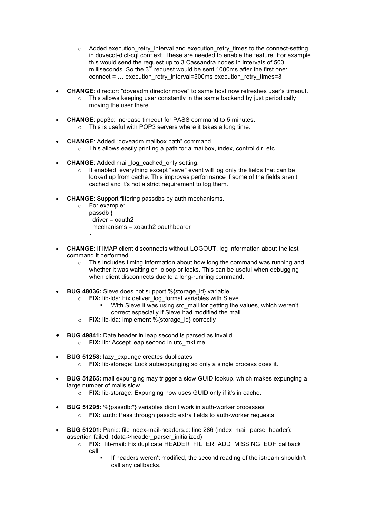- $\circ$  Added execution retry interval and execution retry times to the connect-setting in dovecot-dict-cql.conf.ext. These are needed to enable the feature. For example this would send the request up to 3 Cassandra nodes in intervals of 500 milliseconds. So the  $3<sup>rd</sup>$  request would be sent 1000ms after the first one: connect = … execution\_retry\_interval=500ms execution\_retry\_times=3
- **CHANGE**: director: "doveadm director move" to same host now refreshes user's timeout.
	- $\circ$  This allows keeping user constantly in the same backend by just periodically moving the user there.
- **CHANGE**: pop3c: Increase timeout for PASS command to 5 minutes. o This is useful with POP3 servers where it takes a long time.
- **CHANGE**: Added "doveadm mailbox path" command.
	- o This allows easily printing a path for a mailbox, index, control dir, etc.
- **CHANGE**: Added mail\_log\_cached\_only setting.
	- If enabled, everything except "save" event will log only the fields that can be looked up from cache. This improves performance if some of the fields aren't cached and it's not a strict requirement to log them.
- **CHANGE**: Support filtering passdbs by auth mechanisms.
	- o For example: passdb { driver = oauth2 mechanisms = xoauth2 oauthbearer }
- **CHANGE**: If IMAP client disconnects without LOGOUT, log information about the last command it performed.
	- $\circ$  This includes timing information about how long the command was running and whether it was waiting on ioloop or locks. This can be useful when debugging when client disconnects due to a long-running command.
- **BUG 48036:** Sieve does not support %{storage id} variable
	- o **FIX:** lib-lda: Fix deliver\_log\_format variables with Sieve
		- With Sieve it was using src\_mail for getting the values, which weren't correct especially if Sieve had modified the mail.
	- o **FIX:** lib-lda: Implement %{storage\_id} correctly
- **BUG 49841:** Date header in leap second is parsed as invalid o **FIX:** lib: Accept leap second in utc\_mktime
- **BUG 51258:** lazy\_expunge creates duplicates
	- o **FIX:** lib-storage: Lock autoexpunging so only a single process does it.
- **BUG 51265:** mail expunging may trigger a slow GUID lookup, which makes expunging a large number of mails slow.
	- o **FIX:** lib-storage: Expunging now uses GUID only if it's in cache.
- **BUG 51295:** %{passdb:\*} variables didn't work in auth-worker processes
	- o **FIX:** auth: Pass through passdb extra fields to auth-worker requests
- **BUG 51201:** Panic: file index-mail-headers.c: line 286 (index\_mail\_parse\_header): assertion failed: (data->header\_parser\_initialized)
	- o **FIX:** lib-mail: Fix duplicate HEADER\_FILTER\_ADD\_MISSING\_EOH callback call
		- If headers weren't modified, the second reading of the istream shouldn't call any callbacks.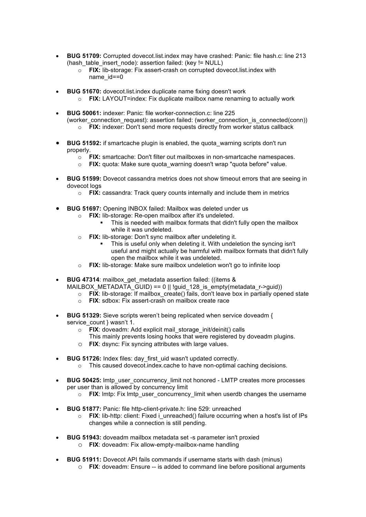- **BUG 51709:** Corrupted dovecot.list.index may have crashed: Panic: file hash.c: line 213 (hash\_table\_insert\_node): assertion failed: (key != NULL)
	- o **FIX:** lib-storage: Fix assert-crash on corrupted dovecot.list.index with name\_id==0
- **BUG 51670:** dovecot.list.index duplicate name fixing doesn't work
	- o **FIX:** LAYOUT=index: Fix duplicate mailbox name renaming to actually work
- **BUG 50061:** indexer: Panic: file worker-connection.c: line 225 (worker\_connection\_request): assertion failed: (worker\_connection\_is\_connected(conn)) o **FIX:** indexer: Don't send more requests directly from worker status callback
- **BUG 51592:** if smartcache plugin is enabled, the quota warning scripts don't run properly.
	- o **FIX:** smartcache: Don't filter out mailboxes in non-smartcache namespaces.
	- o **FIX:** quota: Make sure quota\_warning doesn't wrap "quota before" value.
- **BUG 51599:** Dovecot cassandra metrics does not show timeout errors that are seeing in dovecot logs
	- o **FIX:** cassandra: Track query counts internally and include them in metrics
- **BUG 51697:** Opening INBOX failed: Mailbox was deleted under us
	- o **FIX:** lib-storage: Re-open mailbox after it's undeleted.
		- This is needed with mailbox formats that didn't fully open the mailbox while it was undeleted.
	- o **FIX:** lib-storage: Don't sync mailbox after undeleting it.
		- This is useful only when deleting it. With undeletion the syncing isn't useful and might actually be harmful with mailbox formats that didn't fully open the mailbox while it was undeleted.
	- o **FIX:** lib-storage: Make sure mailbox undeletion won't go to infinite loop
- **BUG 47314**: mailbox\_get\_metadata assertion failed: ((items & MAILBOX METADATA GUID) == 0 || !guid 128 is empty(metadata r->guid))
	- o **FIX**: lib-storage: If mailbox\_create() fails, don't leave box in partially opened state
	- o **FIX**: sdbox: Fix assert-crash on mailbox create race
- **BUG 51329:** Sieve scripts weren't being replicated when service doveadm { service\_count } wasn't 1.
	- o **FIX**: doveadm: Add explicit mail\_storage\_init/deinit() calls
		- This mainly prevents losing hooks that were registered by doveadm plugins.
	- o **FIX**: dsync: Fix syncing attributes with large values.
- **BUG 51726:** Index files: day\_first\_uid wasn't updated correctly.
	- o This caused dovecot.index.cache to have non-optimal caching decisions.
- **BUG 50425:** Imtp\_user\_concurrency\_limit not honored LMTP creates more processes per user than is allowed by concurrency limit
	- $\circ$  **FIX**: lmtp: Fix lmtp\_user\_concurrency\_limit when userdb changes the username
- **BUG 51877:** Panic: file http-client-private.h: line 529: unreached
	- o **FIX:** lib-http: client: Fixed i\_unreached() failure occurring when a host's list of IPs changes while a connection is still pending.
- **BUG 51943:** doveadm mailbox metadata set -s parameter isn't proxied
	- o **FIX**: doveadm: Fix allow-empty-mailbox-name handling
- **BUG 51911:** Dovecot API fails commands if username starts with dash (minus)
	- o **FIX**: doveadm: Ensure -- is added to command line before positional arguments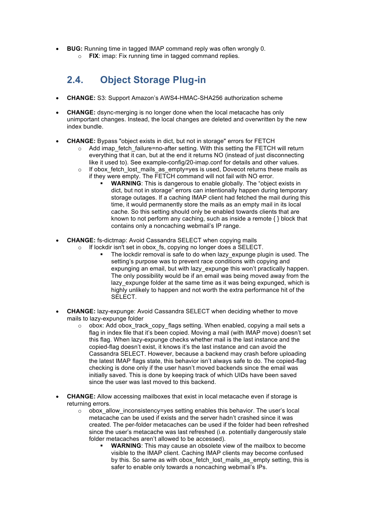- **BUG:** Running time in tagged IMAP command reply was often wrongly 0.
	- o **FIX**: imap: Fix running time in tagged command replies.

## **2.4. Object Storage Plug-in**

- **CHANGE:** S3: Support Amazon's AWS4-HMAC-SHA256 authorization scheme
- **CHANGE:** dsync-merging is no longer done when the local metacache has only unimportant changes. Instead, the local changes are deleted and overwritten by the new index bundle.
- **CHANGE:** Bypass "object exists in dict, but not in storage" errors for FETCH
	- Add imap\_fetch\_failure=no-after setting. With this setting the FETCH will return everything that it can, but at the end it returns NO (instead of just disconnecting like it used to). See example-config/20-imap.conf for details and other values.
	- o If obox fetch lost mails as empty=yes is used, Dovecot returns these mails as if they were empty. The FETCH command will not fail with NO error.
		- § **WARNING**: This is dangerous to enable globally. The "object exists in dict, but not in storage" errors can intentionally happen during temporary storage outages. If a caching IMAP client had fetched the mail during this time, it would permanently store the mails as an empty mail in its local cache. So this setting should only be enabled towards clients that are known to not perform any caching, such as inside a remote { } block that contains only a noncaching webmail's IP range.
- **CHANGE:** fs-dictmap: Avoid Cassandra SELECT when copying mails
	- o If lockdir isn't set in obox\_fs, copying no longer does a SELECT.
		- The lockdir removal is safe to do when lazy expunge plugin is used. The setting's purpose was to prevent race conditions with copying and expunging an email, but with lazy\_expunge this won't practically happen. The only possibility would be if an email was being moved away from the lazy expunge folder at the same time as it was being expunged, which is highly unlikely to happen and not worth the extra performance hit of the SELECT.
- **CHANGE:** lazy-expunge: Avoid Cassandra SELECT when deciding whether to move mails to lazy-expunge folder
	- o obox: Add obox\_track\_copy\_flags setting. When enabled, copying a mail sets a flag in index file that it's been copied. Moving a mail (with IMAP move) doesn't set this flag. When lazy-expunge checks whether mail is the last instance and the copied-flag doesn't exist, it knows it's the last instance and can avoid the Cassandra SELECT. However, because a backend may crash before uploading the latest IMAP flags state, this behavior isn't always safe to do. The copied-flag checking is done only if the user hasn't moved backends since the email was initially saved. This is done by keeping track of which UIDs have been saved since the user was last moved to this backend.
- **CHANGE:** Allow accessing mailboxes that exist in local metacache even if storage is returning errors.
	- o obox\_allow\_inconsistency=yes setting enables this behavior. The user's local metacache can be used if exists and the server hadn't crashed since it was created. The per-folder metacaches can be used if the folder had been refreshed since the user's metacache was last refreshed (i.e. potentially dangerously stale folder metacaches aren't allowed to be accessed).
		- **WARNING:** This may cause an obsolete view of the mailbox to become visible to the IMAP client. Caching IMAP clients may become confused by this. So same as with obox fetch lost mails as empty setting, this is safer to enable only towards a noncaching webmail's IPs.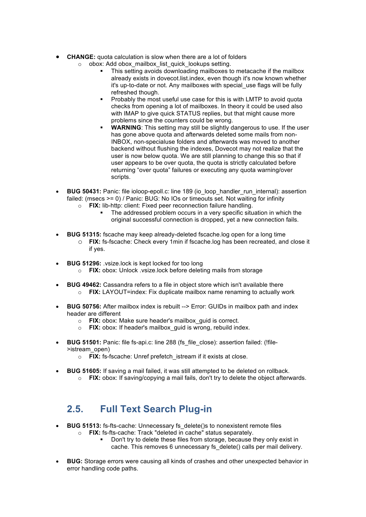- **CHANGE:** quota calculation is slow when there are a lot of folders o obox: Add obox mailbox list quick lookups setting.
	- This setting avoids downloading mailboxes to metacache if the mailbox already exists in dovecot.list.index, even though it's now known whether
		- it's up-to-date or not. Any mailboxes with special use flags will be fully refreshed though. ■ Probably the most useful use case for this is with LMTP to avoid quota
		- checks from opening a lot of mailboxes. In theory it could be used also with IMAP to give quick STATUS replies, but that might cause more problems since the counters could be wrong.
		- **WARNING:** This setting may still be slightly dangerous to use. If the user has gone above quota and afterwards deleted some mails from non-INBOX, non-specialuse folders and afterwards was moved to another backend without flushing the indexes, Dovecot may not realize that the user is now below quota. We are still planning to change this so that if user appears to be over quota, the quota is strictly calculated before returning "over quota" failures or executing any quota warning/over scripts.
- **BUG 50431:** Panic: file ioloop-epoll.c: line 189 (io loop handler run internal): assertion failed: (msecs >= 0) / Panic: BUG: No IOs or timeouts set. Not waiting for infinity o **FIX:** lib-http: client: Fixed peer reconnection failure handling.
	- The addressed problem occurs in a very specific situation in which the original successful connection is dropped, yet a new connection fails.
- **BUG 51315:** fscache may keep already-deleted fscache.log open for a long time
	- o **FIX:** fs-fscache: Check every 1min if fscache.log has been recreated, and close it if yes.
- **BUG 51296:** .vsize.lock is kept locked for too long o **FIX:** obox: Unlock .vsize.lock before deleting mails from storage
- **BUG 49462:** Cassandra refers to a file in object store which isn't available there o **FIX:** LAYOUT=index: Fix duplicate mailbox name renaming to actually work
- **BUG 50756:** After mailbox index is rebuilt --> Error: GUIDs in mailbox path and index header are different
	- o **FIX:** obox: Make sure header's mailbox\_guid is correct.
	- o **FIX:** obox: If header's mailbox\_guid is wrong, rebuild index.
- **BUG 51501:** Panic: file fs-api.c: line 288 (fs\_file\_close): assertion failed: (!file->istream\_open)
	- o **FIX:** fs-fscache: Unref prefetch\_istream if it exists at close.
- **BUG 51605:** If saving a mail failed, it was still attempted to be deleted on rollback.
	- o **FIX:** obox: If saving/copying a mail fails, don't try to delete the object afterwards.

## **2.5. Full Text Search Plug-in**

- **BUG 51513:** fs-fts-cache: Unnecessary fs\_delete()s to nonexistent remote files o **FIX:** fs-fts-cache: Track "deleted in cache" status separately.
	- Don't try to delete these files from storage, because they only exist in cache. This removes 6 unnecessary fs\_delete() calls per mail delivery.
- **BUG:** Storage errors were causing all kinds of crashes and other unexpected behavior in error handling code paths.